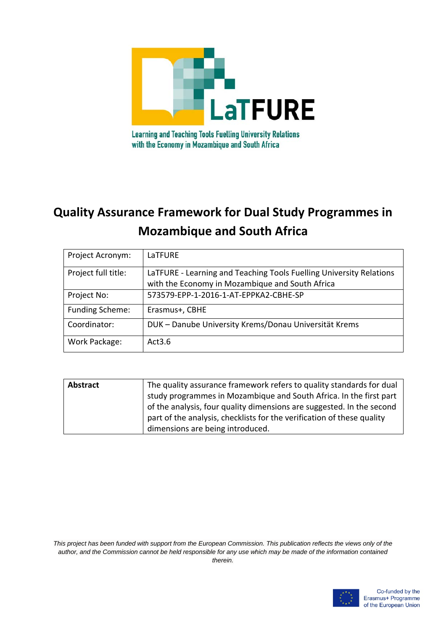

# **Quality Assurance Framework for Dual Study Programmes in Mozambique and South Africa**

| Project Acronym:       | LaTFURE                                                                                                                |
|------------------------|------------------------------------------------------------------------------------------------------------------------|
| Project full title:    | LaTFURE - Learning and Teaching Tools Fuelling University Relations<br>with the Economy in Mozambique and South Africa |
| Project No:            | 573579-EPP-1-2016-1-AT-EPPKA2-CBHE-SP                                                                                  |
| <b>Funding Scheme:</b> | Erasmus+, CBHE                                                                                                         |
| Coordinator:           | DUK - Danube University Krems/Donau Universität Krems                                                                  |
| Work Package:          | Act3.6                                                                                                                 |

| <b>Abstract</b> | The quality assurance framework refers to quality standards for dual   |
|-----------------|------------------------------------------------------------------------|
|                 | study programmes in Mozambique and South Africa. In the first part     |
|                 | of the analysis, four quality dimensions are suggested. In the second  |
|                 | part of the analysis, checklists for the verification of these quality |
|                 | dimensions are being introduced.                                       |

*This project has been funded with support from the European Commission. This publication reflects the views only of the author, and the Commission cannot be held responsible for any use which may be made of the information contained therein.*

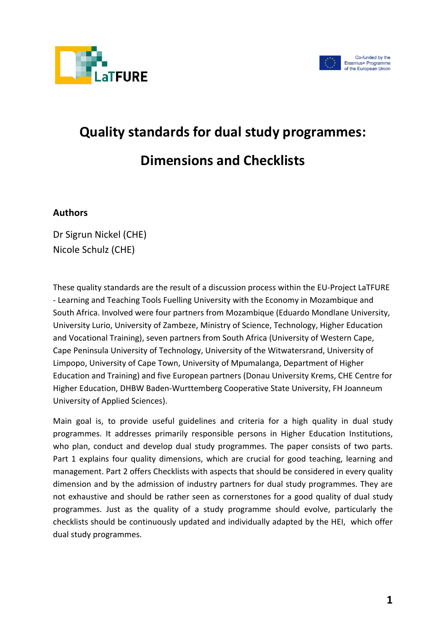



# **Quality standards for dual study programmes: Dimensions and Checklists**

#### **Authors**

Dr Sigrun Nickel (CHE) Nicole Schulz (CHE)

These quality standards are the result of a discussion process within the EU-Project LaTFURE - Learning and Teaching Tools Fuelling University with the Economy in Mozambique and South Africa. Involved were four partners from Mozambique (Eduardo Mondlane University, University Lurio, University of Zambeze, Ministry of Science, Technology, Higher Education and Vocational Training), seven partners from South Africa (University of Western Cape, Cape Peninsula University of Technology, University of the Witwatersrand, University of Limpopo, University of Cape Town, University of Mpumalanga, Department of Higher Education and Training) and five European partners (Donau University Krems, CHE Centre for Higher Education, DHBW Baden-Wurttemberg Cooperative State University, FH Joanneum University of Applied Sciences).

Main goal is, to provide useful guidelines and criteria for a high quality in dual study programmes. It addresses primarily responsible persons in Higher Education Institutions, who plan, conduct and develop dual study programmes. The paper consists of two parts. Part 1 explains four quality dimensions, which are crucial for good teaching, learning and management. Part 2 offers Checklists with aspects that should be considered in every quality dimension and by the admission of industry partners for dual study programmes. They are not exhaustive and should be rather seen as cornerstones for a good quality of dual study programmes. Just as the quality of a study programme should evolve, particularly the checklists should be continuously updated and individually adapted by the HEI, which offer dual study programmes.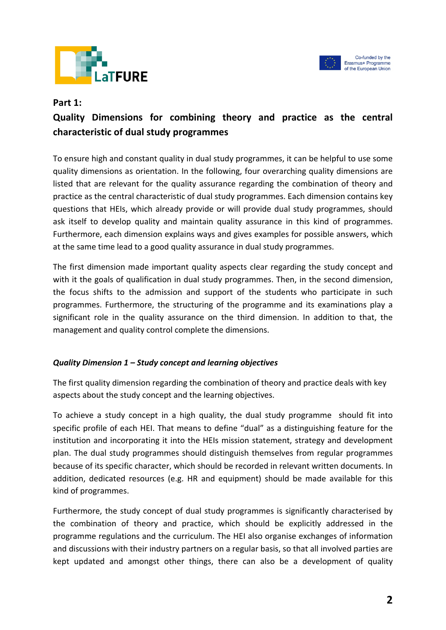



#### **Part 1:**

# **Quality Dimensions for combining theory and practice as the central characteristic of dual study programmes**

To ensure high and constant quality in dual study programmes, it can be helpful to use some quality dimensions as orientation. In the following, four overarching quality dimensions are listed that are relevant for the quality assurance regarding the combination of theory and practice as the central characteristic of dual study programmes. Each dimension contains key questions that HEIs, which already provide or will provide dual study programmes, should ask itself to develop quality and maintain quality assurance in this kind of programmes. Furthermore, each dimension explains ways and gives examples for possible answers, which at the same time lead to a good quality assurance in dual study programmes.

The first dimension made important quality aspects clear regarding the study concept and with it the goals of qualification in dual study programmes. Then, in the second dimension, the focus shifts to the admission and support of the students who participate in such programmes. Furthermore, the structuring of the programme and its examinations play a significant role in the quality assurance on the third dimension. In addition to that, the management and quality control complete the dimensions.

#### *Quality Dimension 1 – Study concept and learning objectives*

The first quality dimension regarding the combination of theory and practice deals with key aspects about the study concept and the learning objectives.

To achieve a study concept in a high quality, the dual study programme should fit into specific profile of each HEI. That means to define "dual" as a distinguishing feature for the institution and incorporating it into the HEIs mission statement, strategy and development plan. The dual study programmes should distinguish themselves from regular programmes because of its specific character, which should be recorded in relevant written documents. In addition, dedicated resources (e.g. HR and equipment) should be made available for this kind of programmes.

Furthermore, the study concept of dual study programmes is significantly characterised by the combination of theory and practice, which should be explicitly addressed in the programme regulations and the curriculum. The HEI also organise exchanges of information and discussions with their industry partners on a regular basis, so that all involved parties are kept updated and amongst other things, there can also be a development of quality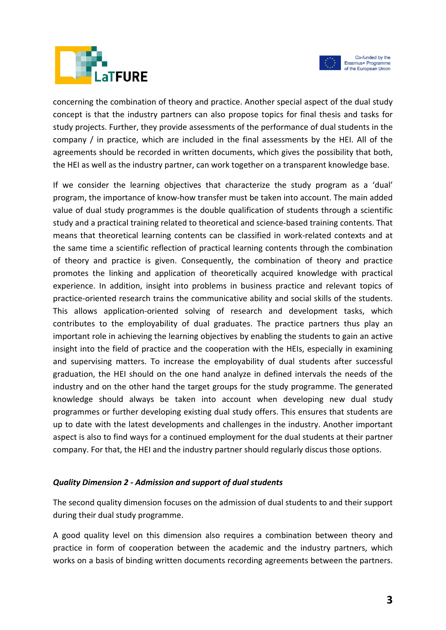



Co-funded by the Erasmus+ Programme of the European Union

concerning the combination of theory and practice. Another special aspect of the dual study concept is that the industry partners can also propose topics for final thesis and tasks for study projects. Further, they provide assessments of the performance of dual students in the company / in practice, which are included in the final assessments by the HEI. All of the agreements should be recorded in written documents, which gives the possibility that both, the HEI as well as the industry partner, can work together on a transparent knowledge base.

If we consider the learning objectives that characterize the study program as a 'dual' program, the importance of know-how transfer must be taken into account. The main added value of dual study programmes is the double qualification of students through a scientific study and a practical training related to theoretical and science-based training contents. That means that theoretical learning contents can be classified in work-related contexts and at the same time a scientific reflection of practical learning contents through the combination of theory and practice is given. Consequently, the combination of theory and practice promotes the linking and application of theoretically acquired knowledge with practical experience. In addition, insight into problems in business practice and relevant topics of practice-oriented research trains the communicative ability and social skills of the students. This allows application-oriented solving of research and development tasks, which contributes to the employability of dual graduates. The practice partners thus play an important role in achieving the learning objectives by enabling the students to gain an active insight into the field of practice and the cooperation with the HEIs, especially in examining and supervising matters. To increase the employability of dual students after successful graduation, the HEI should on the one hand analyze in defined intervals the needs of the industry and on the other hand the target groups for the study programme. The generated knowledge should always be taken into account when developing new dual study programmes or further developing existing dual study offers. This ensures that students are up to date with the latest developments and challenges in the industry. Another important aspect is also to find ways for a continued employment for the dual students at their partner company. For that, the HEI and the industry partner should regularly discus those options.

#### *Quality Dimension 2 - Admission and support of dual students*

The second quality dimension focuses on the admission of dual students to and their support during their dual study programme.

A good quality level on this dimension also requires a combination between theory and practice in form of cooperation between the academic and the industry partners, which works on a basis of binding written documents recording agreements between the partners.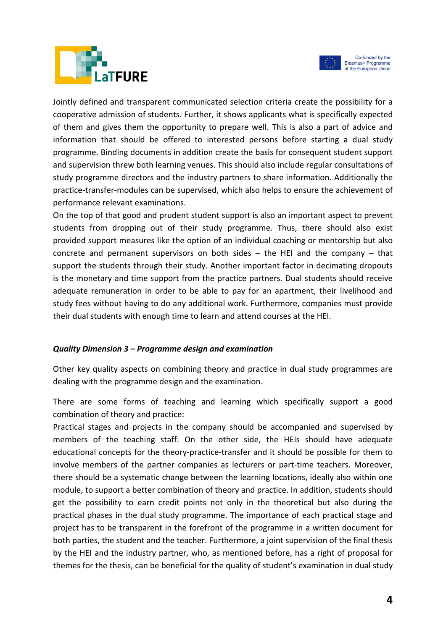



Jointly defined and transparent communicated selection criteria create the possibility for a cooperative admission of students. Further, it shows applicants what is specifically expected of them and gives them the opportunity to prepare well. This is also a part of advice and information that should be offered to interested persons before starting a dual study programme. Binding documents in addition create the basis for consequent student support and supervision threw both learning venues. This should also include regular consultations of study programme directors and the industry partners to share information. Additionally the practice-transfer-modules can be supervised, which also helps to ensure the achievement of performance relevant examinations.

On the top of that good and prudent student support is also an important aspect to prevent students from dropping out of their study programme. Thus, there should also exist provided support measures like the option of an individual coaching or mentorship but also concrete and permanent supervisors on both sides – the HEI and the company – that support the students through their study. Another important factor in decimating dropouts is the monetary and time support from the practice partners. Dual students should receive adequate remuneration in order to be able to pay for an apartment, their livelihood and study fees without having to do any additional work. Furthermore, companies must provide their dual students with enough time to learn and attend courses at the HEI.

#### *Quality Dimension 3 – Programme design and examination*

Other key quality aspects on combining theory and practice in dual study programmes are dealing with the programme design and the examination.

There are some forms of teaching and learning which specifically support a good combination of theory and practice:

Practical stages and projects in the company should be accompanied and supervised by members of the teaching staff. On the other side, the HEIs should have adequate educational concepts for the theory-practice-transfer and it should be possible for them to involve members of the partner companies as lecturers or part-time teachers. Moreover, there should be a systematic change between the learning locations, ideally also within one module, to support a better combination of theory and practice. In addition, students should get the possibility to earn credit points not only in the theoretical but also during the practical phases in the dual study programme. The importance of each practical stage and project has to be transparent in the forefront of the programme in a written document for both parties, the student and the teacher. Furthermore, a joint supervision of the final thesis by the HEI and the industry partner, who, as mentioned before, has a right of proposal for themes for the thesis, can be beneficial for the quality of student's examination in dual study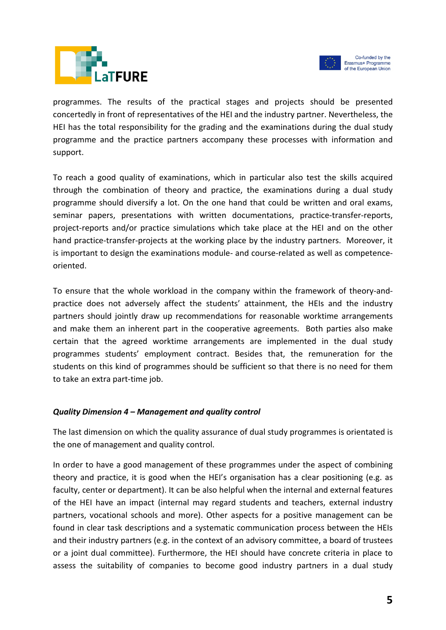



programmes. The results of the practical stages and projects should be presented concertedly in front of representatives of the HEI and the industry partner. Nevertheless, the HEI has the total responsibility for the grading and the examinations during the dual study programme and the practice partners accompany these processes with information and support.

To reach a good quality of examinations, which in particular also test the skills acquired through the combination of theory and practice, the examinations during a dual study programme should diversify a lot. On the one hand that could be written and oral exams, seminar papers, presentations with written documentations, practice-transfer-reports, project-reports and/or practice simulations which take place at the HEI and on the other hand practice-transfer-projects at the working place by the industry partners. Moreover, it is important to design the examinations module- and course-related as well as competenceoriented.

To ensure that the whole workload in the company within the framework of theory-andpractice does not adversely affect the students' attainment, the HEIs and the industry partners should jointly draw up recommendations for reasonable worktime arrangements and make them an inherent part in the cooperative agreements. Both parties also make certain that the agreed worktime arrangements are implemented in the dual study programmes students' employment contract. Besides that, the remuneration for the students on this kind of programmes should be sufficient so that there is no need for them to take an extra part-time job.

#### *Quality Dimension 4 – Management and quality control*

The last dimension on which the quality assurance of dual study programmes is orientated is the one of management and quality control.

In order to have a good management of these programmes under the aspect of combining theory and practice, it is good when the HEI's organisation has a clear positioning (e.g. as faculty, center or department). It can be also helpful when the internal and external features of the HEI have an impact (internal may regard students and teachers, external industry partners, vocational schools and more). Other aspects for a positive management can be found in clear task descriptions and a systematic communication process between the HEIs and their industry partners (e.g. in the context of an advisory committee, a board of trustees or a joint dual committee). Furthermore, the HEI should have concrete criteria in place to assess the suitability of companies to become good industry partners in a dual study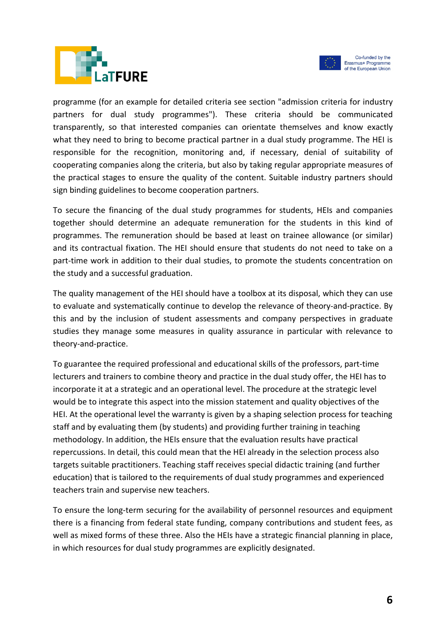



programme (for an example for detailed criteria see section "admission criteria for industry partners for dual study programmes"). These criteria should be communicated transparently, so that interested companies can orientate themselves and know exactly what they need to bring to become practical partner in a dual study programme. The HEI is responsible for the recognition, monitoring and, if necessary, denial of suitability of cooperating companies along the criteria, but also by taking regular appropriate measures of the practical stages to ensure the quality of the content. Suitable industry partners should sign binding guidelines to become cooperation partners.

To secure the financing of the dual study programmes for students, HEIs and companies together should determine an adequate remuneration for the students in this kind of programmes. The remuneration should be based at least on trainee allowance (or similar) and its contractual fixation. The HEI should ensure that students do not need to take on a part-time work in addition to their dual studies, to promote the students concentration on the study and a successful graduation.

The quality management of the HEI should have a toolbox at its disposal, which they can use to evaluate and systematically continue to develop the relevance of theory-and-practice. By this and by the inclusion of student assessments and company perspectives in graduate studies they manage some measures in quality assurance in particular with relevance to theory-and-practice.

To guarantee the required professional and educational skills of the professors, part-time lecturers and trainers to combine theory and practice in the dual study offer, the HEI has to incorporate it at a strategic and an operational level. The procedure at the strategic level would be to integrate this aspect into the mission statement and quality objectives of the HEI. At the operational level the warranty is given by a shaping selection process for teaching staff and by evaluating them (by students) and providing further training in teaching methodology. In addition, the HEIs ensure that the evaluation results have practical repercussions. In detail, this could mean that the HEI already in the selection process also targets suitable practitioners. Teaching staff receives special didactic training (and further education) that is tailored to the requirements of dual study programmes and experienced teachers train and supervise new teachers.

To ensure the long-term securing for the availability of personnel resources and equipment there is a financing from federal state funding, company contributions and student fees, as well as mixed forms of these three. Also the HEIs have a strategic financial planning in place, in which resources for dual study programmes are explicitly designated.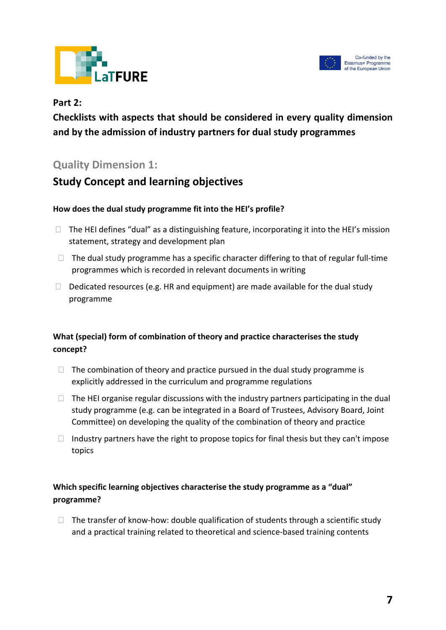



#### **Part 2:**

**Checklists with aspects that should be considered in every quality dimension and by the admission of industry partners for dual study programmes**

# **Quality Dimension 1:**

# **Study Concept and learning objectives**

#### **How does the dual study programme fit into the HEI's profile?**

- $\Box$  The HEI defines "dual" as a distinguishing feature, incorporating it into the HEI's mission statement, strategy and development plan
- $\Box$  The dual study programme has a specific character differing to that of regular full-time programmes which is recorded in relevant documents in writing
- $\Box$  Dedicated resources (e.g. HR and equipment) are made available for the dual study programme

#### **What (special) form of combination of theory and practice characterises the study concept?**

- $\Box$  The combination of theory and practice pursued in the dual study programme is explicitly addressed in the curriculum and programme regulations
- $\Box$  The HEI organise regular discussions with the industry partners participating in the dual study programme (e.g. can be integrated in a Board of Trustees, Advisory Board, Joint Committee) on developing the quality of the combination of theory and practice
- $\Box$  Industry partners have the right to propose topics for final thesis but they can't impose topics

#### **Which specific learning objectives characterise the study programme as a "dual" programme?**

 $\Box$  The transfer of know-how: double qualification of students through a scientific study and a practical training related to theoretical and science-based training contents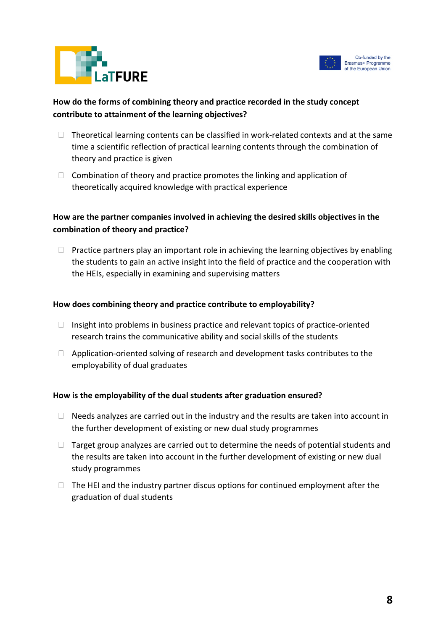

# **How do the forms of combining theory and practice recorded in the study concept contribute to attainment of the learning objectives?**

**FURE** 

- $\Box$  Theoretical learning contents can be classified in work-related contexts and at the same time a scientific reflection of practical learning contents through the combination of theory and practice is given
- $\Box$  Combination of theory and practice promotes the linking and application of theoretically acquired knowledge with practical experience

#### **How are the partner companies involved in achieving the desired skills objectives in the combination of theory and practice?**

 $\Box$  Practice partners play an important role in achieving the learning objectives by enabling the students to gain an active insight into the field of practice and the cooperation with the HEIs, especially in examining and supervising matters

#### **How does combining theory and practice contribute to employability?**

- $\Box$  Insight into problems in business practice and relevant topics of practice-oriented research trains the communicative ability and social skills of the students
- $\Box$  Application-oriented solving of research and development tasks contributes to the employability of dual graduates

#### **How is the employability of the dual students after graduation ensured?**

- $\Box$  Needs analyzes are carried out in the industry and the results are taken into account in the further development of existing or new dual study programmes
- $\Box$  Target group analyzes are carried out to determine the needs of potential students and the results are taken into account in the further development of existing or new dual study programmes
- $\Box$  The HEI and the industry partner discus options for continued employment after the graduation of dual students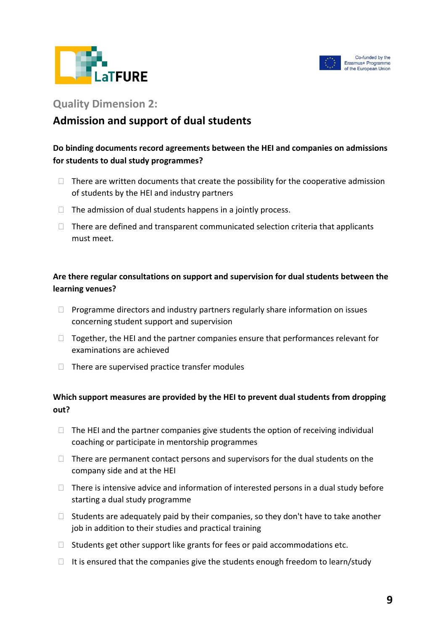



#### **Quality Dimension 2:**

# **Admission and support of dual students**

#### **Do binding documents record agreements between the HEI and companies on admissions for students to dual study programmes?**

- $\Box$  There are written documents that create the possibility for the cooperative admission of students by the HEI and industry partners
- $\Box$  The admission of dual students happens in a jointly process.
- $\Box$  There are defined and transparent communicated selection criteria that applicants must meet.

#### **Are there regular consultations on support and supervision for dual students between the learning venues?**

- $\Box$  Programme directors and industry partners regularly share information on issues concerning student support and supervision
- $\Box$  Together, the HEI and the partner companies ensure that performances relevant for examinations are achieved
- $\Box$  There are supervised practice transfer modules

#### **Which support measures are provided by the HEI to prevent dual students from dropping out?**

- $\Box$  The HEI and the partner companies give students the option of receiving individual coaching or participate in mentorship programmes
- $\Box$  There are permanent contact persons and supervisors for the dual students on the company side and at the HEI
- $\Box$  There is intensive advice and information of interested persons in a dual study before starting a dual study programme
- $\Box$  Students are adequately paid by their companies, so they don't have to take another job in addition to their studies and practical training
- $\Box$  Students get other support like grants for fees or paid accommodations etc.
- $\Box$  It is ensured that the companies give the students enough freedom to learn/study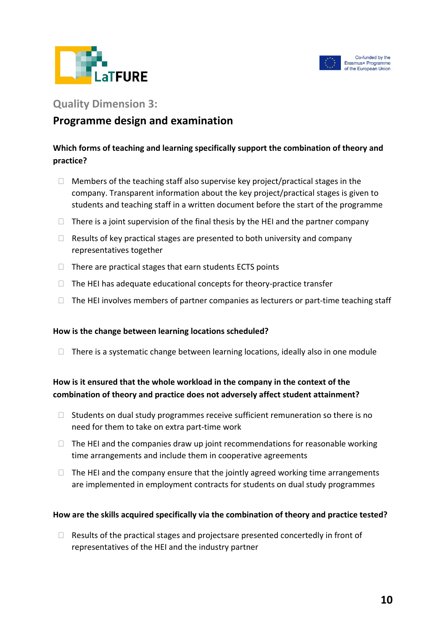



#### **Quality Dimension 3:**

# **Programme design and examination**

#### **Which forms of teaching and learning specifically support the combination of theory and practice?**

- $\Box$  Members of the teaching staff also supervise key project/practical stages in the company. Transparent information about the key project/practical stages is given to students and teaching staff in a written document before the start of the programme
- $\Box$  There is a joint supervision of the final thesis by the HEI and the partner company
- $\Box$  Results of key practical stages are presented to both university and company representatives together
- $\Box$  There are practical stages that earn students ECTS points
- $\Box$  The HEI has adequate educational concepts for theory-practice transfer
- $\Box$  The HEI involves members of partner companies as lecturers or part-time teaching staff

#### **How is the change between learning locations scheduled?**

 $\Box$  There is a systematic change between learning locations, ideally also in one module

#### **How is it ensured that the whole workload in the company in the context of the combination of theory and practice does not adversely affect student attainment?**

- $\Box$  Students on dual study programmes receive sufficient remuneration so there is no need for them to take on extra part-time work
- $\Box$  The HEI and the companies draw up joint recommendations for reasonable working time arrangements and include them in cooperative agreements
- $\Box$  The HEI and the company ensure that the jointly agreed working time arrangements are implemented in employment contracts for students on dual study programmes

#### **How are the skills acquired specifically via the combination of theory and practice tested?**

 $\Box$  Results of the practical stages and projectsare presented concertedly in front of representatives of the HEI and the industry partner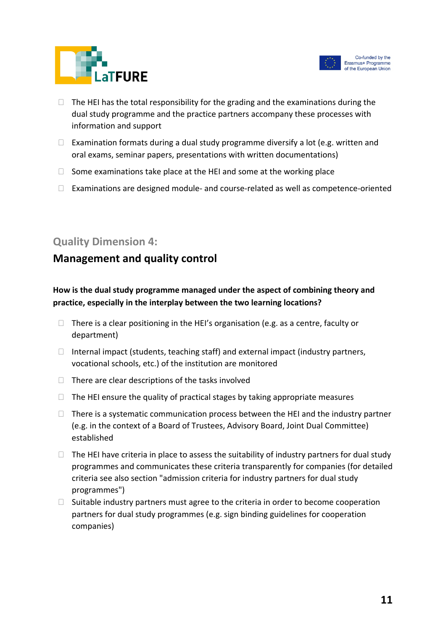



- $\Box$  The HEI has the total responsibility for the grading and the examinations during the dual study programme and the practice partners accompany these processes with information and support
- $\Box$  Examination formats during a dual study programme diversify a lot (e.g. written and oral exams, seminar papers, presentations with written documentations)
- $\Box$  Some examinations take place at the HEI and some at the working place
- $\Box$  Examinations are designed module- and course-related as well as competence-oriented

### **Quality Dimension 4:**

# **Management and quality control**

#### **How is the dual study programme managed under the aspect of combining theory and practice, especially in the interplay between the two learning locations?**

- $\Box$  There is a clear positioning in the HEI's organisation (e.g. as a centre, faculty or department)
- $\Box$  Internal impact (students, teaching staff) and external impact (industry partners, vocational schools, etc.) of the institution are monitored
- $\Box$  There are clear descriptions of the tasks involved
- $\Box$  The HEI ensure the quality of practical stages by taking appropriate measures
- $\Box$  There is a systematic communication process between the HEI and the industry partner (e.g. in the context of a Board of Trustees, Advisory Board, Joint Dual Committee) established
- $\Box$  The HEI have criteria in place to assess the suitability of industry partners for dual study programmes and communicates these criteria transparently for companies (for detailed criteria see also section "admission criteria for industry partners for dual study programmes")
- $\Box$  Suitable industry partners must agree to the criteria in order to become cooperation partners for dual study programmes (e.g. sign binding guidelines for cooperation companies)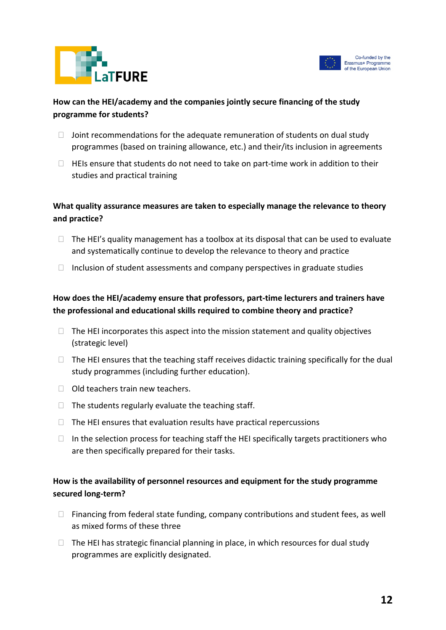



#### **How can the HEI/academy and the companies jointly secure financing of the study programme for students?**

- $\Box$  Joint recommendations for the adequate remuneration of students on dual study programmes (based on training allowance, etc.) and their/its inclusion in agreements
- $\Box$  HEIs ensure that students do not need to take on part-time work in addition to their studies and practical training

#### **What quality assurance measures are taken to especially manage the relevance to theory and practice?**

- $\Box$  The HEI's quality management has a toolbox at its disposal that can be used to evaluate and systematically continue to develop the relevance to theory and practice
- $\Box$  Inclusion of student assessments and company perspectives in graduate studies

#### **How does the HEI/academy ensure that professors, part-time lecturers and trainers have the professional and educational skills required to combine theory and practice?**

- $\Box$  The HEI incorporates this aspect into the mission statement and quality objectives (strategic level)
- $\Box$  The HEI ensures that the teaching staff receives didactic training specifically for the dual study programmes (including further education).
- $\Box$  Old teachers train new teachers.
- $\Box$  The students regularly evaluate the teaching staff.
- $\Box$  The HEI ensures that evaluation results have practical repercussions
- $\Box$  In the selection process for teaching staff the HEI specifically targets practitioners who are then specifically prepared for their tasks.

#### **How is the availability of personnel resources and equipment for the study programme secured long-term?**

- $\Box$  Financing from federal state funding, company contributions and student fees, as well as mixed forms of these three
- $\Box$  The HEI has strategic financial planning in place, in which resources for dual study programmes are explicitly designated.